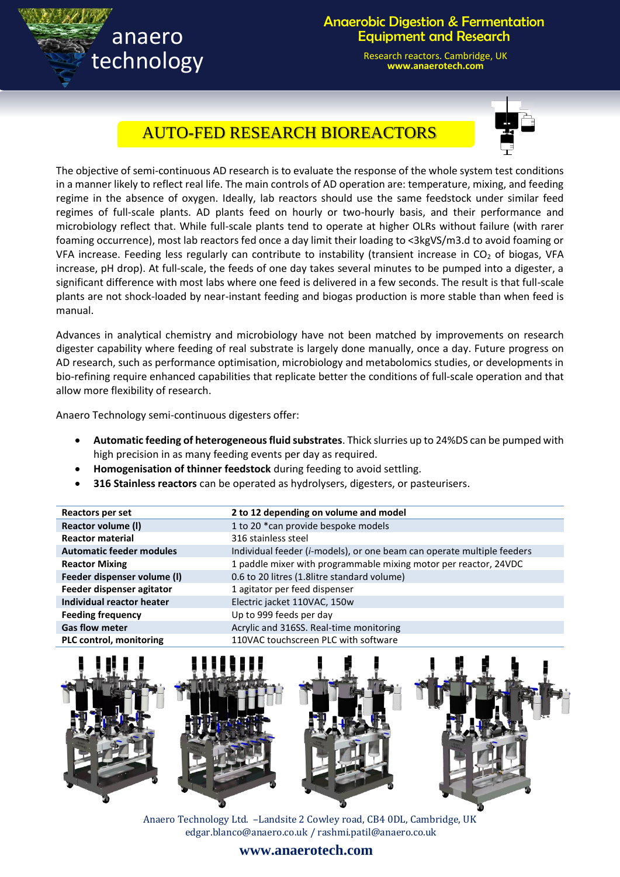

## Anaerobic Digestion & Fermentation Equipment and Research

Research reactors. Cambridge, UK **www.anaerotech.com**



## AUTO-FED RESEARCH BIOREACTORS

The objective of semi-continuous AD research is to evaluate the response of the whole system test conditions in a manner likely to reflect real life. The main controls of AD operation are: temperature, mixing, and feeding regime in the absence of oxygen. Ideally, lab reactors should use the same feedstock under similar feed regimes of full-scale plants. AD plants feed on hourly or two-hourly basis, and their performance and microbiology reflect that. While full-scale plants tend to operate at higher OLRs without failure (with rarer foaming occurrence), most lab reactors fed once a day limit their loading to <3kgVS/m3.d to avoid foaming or VFA increase. Feeding less regularly can contribute to instability (transient increase in  $CO<sub>2</sub>$  of biogas, VFA increase, pH drop). At full-scale, the feeds of one day takes several minutes to be pumped into a digester, a significant difference with most labs where one feed is delivered in a few seconds. The result is that full-scale plants are not shock-loaded by near-instant feeding and biogas production is more stable than when feed is manual.

Advances in analytical chemistry and microbiology have not been matched by improvements on research digester capability where feeding of real substrate is largely done manually, once a day. Future progress on AD research, such as performance optimisation, microbiology and metabolomics studies, or developments in bio-refining require enhanced capabilities that replicate better the conditions of full-scale operation and that allow more flexibility of research.

Anaero Technology semi-continuous digesters offer:

- **Automatic feeding of heterogeneous fluid substrates**. Thick slurries up to 24%DS can be pumped with high precision in as many feeding events per day as required.
- **Homogenisation of thinner feedstock** during feeding to avoid settling.
- **316 Stainless reactors** can be operated as hydrolysers, digesters, or pasteurisers.

| Reactors per set                | 2 to 12 depending on volume and model                                           |
|---------------------------------|---------------------------------------------------------------------------------|
| Reactor volume (I)              | 1 to 20 *can provide bespoke models                                             |
| <b>Reactor material</b>         | 316 stainless steel                                                             |
| <b>Automatic feeder modules</b> | Individual feeder ( <i>i-models</i> ), or one beam can operate multiple feeders |
| <b>Reactor Mixing</b>           | 1 paddle mixer with programmable mixing motor per reactor, 24VDC                |
| Feeder dispenser volume (I)     | 0.6 to 20 litres (1.8litre standard volume)                                     |
| Feeder dispenser agitator       | 1 agitator per feed dispenser                                                   |
| Individual reactor heater       | Electric jacket 110VAC, 150w                                                    |
| <b>Feeding frequency</b>        | Up to 999 feeds per day                                                         |
| <b>Gas flow meter</b>           | Acrylic and 316SS. Real-time monitoring                                         |
| <b>PLC control, monitoring</b>  | 110VAC touchscreen PLC with software                                            |



Anaero Technology Ltd. –Landsite 2 Cowley road, CB4 0DL, Cambridge, UK [edgar.blanco@anaero.co.uk](mailto:edgar.blanco@anaero.co.uk) [/ rashmi.patil@anaero.co.uk](mailto:rashmi.patil@anaero.co.uk)

## **www.anaerotech.com**